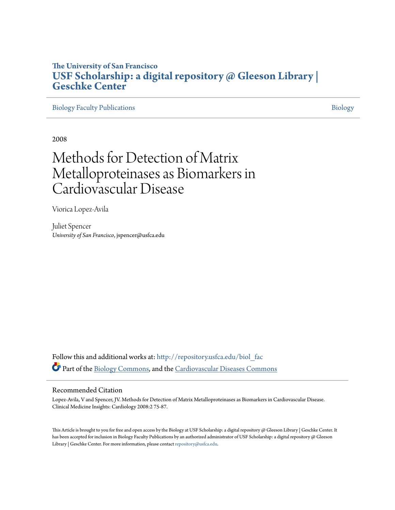#### **The University of San Francisco [USF Scholarship: a digital repository @ Gleeson Library |](http://repository.usfca.edu?utm_source=repository.usfca.edu%2Fbiol_fac%2F24&utm_medium=PDF&utm_campaign=PDFCoverPages) [Geschke Center](http://repository.usfca.edu?utm_source=repository.usfca.edu%2Fbiol_fac%2F24&utm_medium=PDF&utm_campaign=PDFCoverPages)**

[Biology Faculty Publications](http://repository.usfca.edu/biol_fac?utm_source=repository.usfca.edu%2Fbiol_fac%2F24&utm_medium=PDF&utm_campaign=PDFCoverPages) **[Biology](http://repository.usfca.edu/biol?utm_source=repository.usfca.edu%2Fbiol_fac%2F24&utm_medium=PDF&utm_campaign=PDFCoverPages)** 

2008

# Methods for Detection of Matrix Metalloproteinases as Biomarkers in Cardiovascular Disease

Viorica Lopez-Avila

Juliet Spencer *University of San Francisco*, jspencer@usfca.edu

Follow this and additional works at: [http://repository.usfca.edu/biol\\_fac](http://repository.usfca.edu/biol_fac?utm_source=repository.usfca.edu%2Fbiol_fac%2F24&utm_medium=PDF&utm_campaign=PDFCoverPages) Part of the [Biology Commons,](http://network.bepress.com/hgg/discipline/41?utm_source=repository.usfca.edu%2Fbiol_fac%2F24&utm_medium=PDF&utm_campaign=PDFCoverPages) and the [Cardiovascular Diseases Commons](http://network.bepress.com/hgg/discipline/929?utm_source=repository.usfca.edu%2Fbiol_fac%2F24&utm_medium=PDF&utm_campaign=PDFCoverPages)

#### Recommended Citation

Lopez-Avila, V and Spencer, JV. Methods for Detection of Matrix Metalloproteinases as Biomarkers in Cardiovascular Disease. Clinical Medicine Insights: Cardiology 2008:2 75-87.

This Article is brought to you for free and open access by the Biology at USF Scholarship: a digital repository @ Gleeson Library | Geschke Center. It has been accepted for inclusion in Biology Faculty Publications by an authorized administrator of USF Scholarship: a digital repository @ Gleeson Library | Geschke Center. For more information, please contact [repository@usfca.edu.](mailto:repository@usfca.edu)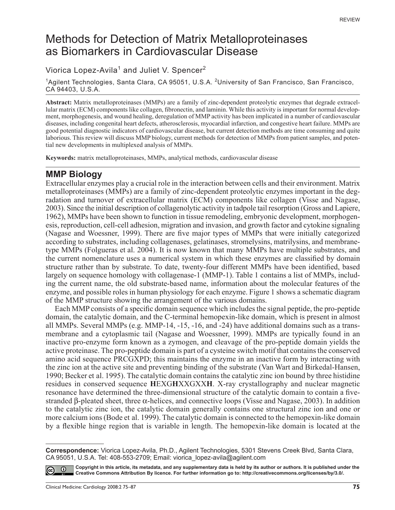## Methods for Detection of Matrix Metalloproteinases as Biomarkers in Cardiovascular Disease

Viorica Lopez-Avila<sup>1</sup> and Juliet V. Spencer<sup>2</sup>

<sup>1</sup>Agilent Technologies, Santa Clara, CA 95051, U.S.A. <sup>2</sup>University of San Francisco, San Francisco, CA 94403, U.S.A.

**Abstract:** Matrix metalloproteinases (MMPs) are a family of zinc-dependent proteolytic enzymes that degrade extracellular matrix (ECM) components like collagen, fibronectin, and laminin. While this activity is important for normal development, morphogenesis, and wound healing, deregulation of MMP activity has been implicated in a number of cardiovascular diseases, including congenital heart defects, atherosclerosis, myocardial infarction, and congestive heart failure. MMPs are good potential diagnostic indicators of cardiovascular disease, but current detection methods are time consuming and quite laborious. This review will discuss MMP biology, current methods for detection of MMPs from patient samples, and potential new developments in multiplexed analysis of MMPs.

**Keywords:** matrix metalloproteinases, MMPs, analytical methods, cardiovascular disease

#### **MMP Biology**

Extracellular enzymes play a crucial role in the interaction between cells and their environment. Matrix metalloproteinases (MMPs) are a family of zinc-dependent proteolytic enzymes important in the degradation and turnover of extracellular matrix (ECM) components like collagen (Visse and Nagase, 2003). Since the initial description of collagenolytic activity in tadpole tail resorption (Gross and Lapiere, 1962), MMPs have been shown to function in tissue remodeling, embryonic development, morphogenesis, reproduction, cell-cell adhesion, migration and invasion, and growth factor and cytokine signaling (Nagase and Woessner, 1999). There are five major types of MMPs that were initially categorized according to substrates, including collagenases, gelatinases, stromelysins, matrilysins, and membranetype MMPs (Folgueras et al. 2004). It is now known that many MMPs have multiple substrates, and the current nomenclature uses a numerical system in which these enzymes are classified by domain structure rather than by substrate. To date, twenty-four different MMPs have been identified, based largely on sequence homology with collagenase-1 (MMP-1). Table 1 contains a list of MMPs, including the current name, the old substrate-based name, information about the molecular features of the enzyme, and possible roles in human physiology for each enzyme. Figure 1 shows a schematic diagram of the MMP structure showing the arrangement of the various domains.

Each MMP consists of a specific domain sequence which includes the signal peptide, the pro-peptide domain, the catalytic domain, and the C-terminal hemopexin-like domain, which is present in almost all MMPs. Several MMPs (e.g. MMP-14, -15, -16, and -24) have additional domains such as a transmembrane and a cytoplasmic tail (Nagase and Woessner, 1999). MMPs are typically found in an inactive pro-enzyme form known as a zymogen, and cleavage of the pro-peptide domain yields the active proteinase. The pro-peptide domain is part of a cysteine switch motif that contains the conserved amino acid sequence PRCGXPD; this maintains the enzyme in an inactive form by interacting with the zinc ion at the active site and preventing binding of the substrate (Van Wart and Birkedal-Hansen, 1990; Becker et al. 1995). The catalytic domain contains the catalytic zinc ion bound by three histidine residues in conserved sequence **H**EXG**H**XXGXX**H**. X-ray crystallography and nuclear magnetic resonance have determined the three-dimensional structure of the catalytic domain to contain a fivestranded β-pleated sheet, three α-helices, and connective loops (Visse and Nagase, 2003). In addition to the catalytic zinc ion, the catalytic domain generally contains one structural zinc ion and one or more calcium ions (Bode et al. 1999). The catalytic domain is connected to the hemopexin-like domain by a flexible hinge region that is variable in length. The hemopexin-like domain is located at the

**Correspondence:** Viorica Lopez-Avila, Ph.D., Agilent Technologies, 5301 Stevens Creek Blvd, Santa Clara, CA 95051, U.S.A. Tel: 408-553-2709; Email: viorica\_lopez-avila@agilent.com



**Copyright in this article, its metadata, and any supplementary data is held by its author or authors. It is published under the Creative Commons Attribution By licence. For further information go to: <http://creativecommons.org/licenses/by/3.0/.>**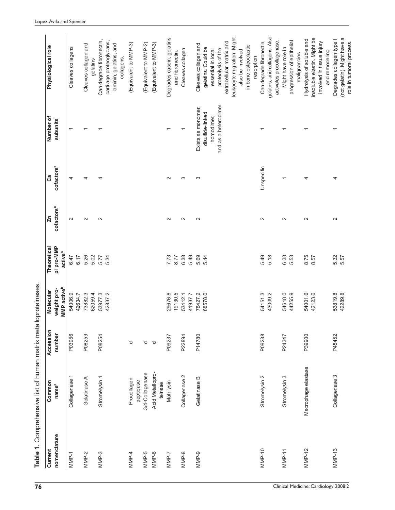| Current       | Common                      | Accession          | Molecular                          | Theoretical     | $\overline{\mathsf{z}}$ | ී                      | Number of                | Physiological role                                 |
|---------------|-----------------------------|--------------------|------------------------------------|-----------------|-------------------------|------------------------|--------------------------|----------------------------------------------------|
| nomenclature  | name <sup>a</sup>           | number             | weight pro-                        | pl pro-MMP      | cofactors <sup>c</sup>  | cofactors <sup>c</sup> | <b>subunits</b>          |                                                    |
| $MMP-1$       | Collagenase 1               | P03956             | MMP active <sup>b</sup><br>54006.9 | activeb<br>6.47 | $\mathbf{\Omega}$       | 4                      | $\overline{ }$           | Cleaves collagens                                  |
|               |                             |                    | 42634.7                            | 6.17            |                         |                        |                          |                                                    |
| $MMP-2$       | Gelatinase A                | P08253             | 73882.3                            | 5.26            | $\sim$                  | 4                      | ᅮ                        | Cleaves collagen and                               |
|               |                             |                    | 62059.4                            | 5.02            |                         |                        |                          | gelatins                                           |
| $MMP-3$       | Stromelysin 1               | P08254             | 53977.3                            | 5.77            | $\sim$                  | 4                      | $\overline{\phantom{0}}$ | Can degrade fibronectin,                           |
|               |                             |                    | 42837.2                            | 5.34            |                         |                        |                          | cartilage proteoglycans,<br>laminin, gelatins, and |
|               |                             |                    |                                    |                 |                         |                        |                          | collagens.                                         |
| MMP-4         | Procollagen                 | Ō                  |                                    |                 |                         |                        |                          | (Equivalent to MMP-3)                              |
|               | peptidase                   |                    |                                    |                 |                         |                        |                          |                                                    |
| MMP-5         | 3/4-Collagenase             | $\mathbf \sigma$   |                                    |                 |                         |                        |                          | (Equivalent to MMP-2)                              |
| MMP-6         | Acid Metallopro-<br>teinase | $\sigma$           |                                    |                 |                         |                        |                          | (Equivalent to MMP-3)                              |
| $NMP-7$       | Matrilysin                  | P09237             | 29676.8                            | 7.73            | $\mathbf{\Omega}$       | $\sim$                 | $\overline{\phantom{0}}$ | Degrades casein, gelatins                          |
|               |                             |                    | 19130.5                            | 8.77            |                         |                        |                          | and fibronectin.                                   |
| $MMP-8$       | Collagenase <sub>2</sub>    | P22894             | 41937.7<br>53412.1                 | 6.38<br>5.49    | $\sim$                  | S                      |                          | Cleaves collagen                                   |
| $MMP-9$       | Gelatinase B                | P <sub>14780</sub> | 78427.2                            | 5.69            | $\mathbf{\Omega}$       | S                      | Exists as monomer,       | Cleaves collagen and                               |
|               |                             |                    | 68578.0                            | 5.44            |                         |                        |                          |                                                    |
|               |                             |                    |                                    |                 |                         |                        | disulfide-linked         | gelatins. Could be                                 |
|               |                             |                    |                                    |                 |                         |                        | homodimer,               | essential in local                                 |
|               |                             |                    |                                    |                 |                         |                        | and as a heterodimer     | proteolysis of the                                 |
|               |                             |                    |                                    |                 |                         |                        |                          | extracellular matrix and                           |
|               |                             |                    |                                    |                 |                         |                        |                          | leukocyte migration. Might                         |
|               |                             |                    |                                    |                 |                         |                        |                          | also be involved                                   |
|               |                             |                    |                                    |                 |                         |                        |                          | in bone osteoclastic                               |
|               |                             |                    |                                    |                 |                         |                        |                          | resorption                                         |
| MMP-10        | Stromelysin 2               | P09238             | 54151.3                            | 5.49            | $\mathbf{\Omega}$       | Unspecific             | ᠇                        | Can degrade fibronectin,                           |
|               |                             |                    | 43009.2                            | 5.18            |                         |                        |                          | gelatins, and collagens. Also                      |
|               |                             |                    |                                    |                 |                         |                        |                          | activates procollagenase.                          |
| $MMP-11$      | Stromelysin 3               | P24347             | 54618.0                            | 6.38            | $\sim$                  |                        | ᠇                        | Might have role in                                 |
|               |                             |                    | 44255.9                            | 5.53            |                         |                        |                          | progression of epithelial                          |
|               |                             |                    |                                    |                 |                         |                        |                          | malignancies                                       |
| <b>MMP-12</b> | Macrophage elastase         | P39900             | 54001.6                            | 8.75            | $\mathbf{\Omega}$       | 4                      | ᠇                        | Hydrolysis of soluble and                          |
|               |                             |                    | 42123.6                            | 8.57            |                         |                        |                          | insoluble elastin. Might be                        |
|               |                             |                    |                                    |                 |                         |                        |                          | involved in tissue injury                          |
|               |                             |                    |                                    |                 |                         |                        |                          | and remodeling                                     |
| <b>MMP-13</b> | Collagenase 3               | P45452             | 53819.8                            | 5.32            | $\mathbf{\Omega}$       | 4                      |                          | Degrades collagen type I                           |
|               |                             |                    | 42289.8                            | 5.57            |                         |                        |                          | (not gelatin). Might have a                        |
|               |                             |                    |                                    |                 |                         |                        |                          | role in tumoral process.                           |

**Table 1.** Comprehensive list of human matrix metalloproteinases.

Table 1. Comprehensive list of human matrix metalloproteinases.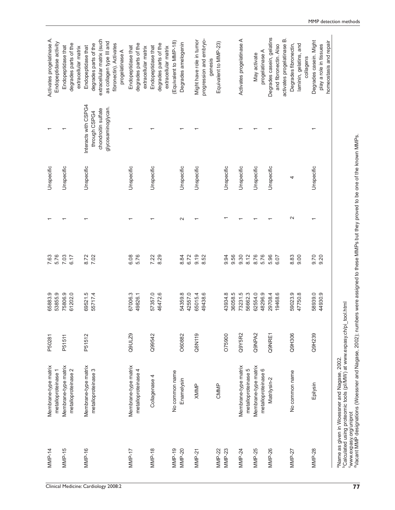|                                      | MMP-14                         | Membrane-type matrix<br>metalloproteinase 1                                                                                                                                                                                                                                                                | P50281           | 53855.9<br>65883.9            | 5.76<br>7.63         |                   | Unspecific               |                                                                                   | Activates progelatinase A<br>Endopeptidase activity                                                                                                 |
|--------------------------------------|--------------------------------|------------------------------------------------------------------------------------------------------------------------------------------------------------------------------------------------------------------------------------------------------------------------------------------------------------|------------------|-------------------------------|----------------------|-------------------|--------------------------|-----------------------------------------------------------------------------------|-----------------------------------------------------------------------------------------------------------------------------------------------------|
|                                      | <b>MMP-15</b>                  | Membrane-type matrix<br>metalloproteinase 2                                                                                                                                                                                                                                                                | P51511           | 75806.9<br>61202.0            | 7.03<br>6.17         |                   | Unspecific               |                                                                                   | degrades parts of the<br>Endopeptidase that<br>extracellular matrix                                                                                 |
| Clinical Medicine: Cardiology 2008:2 | MMP-16                         | Membrane-type matrix<br>metalloproteinase 3                                                                                                                                                                                                                                                                | P51512           | 69521.5<br>55717.4            | 8.72<br>7.02         |                   | Unspecific               | Interacts with CSPG4<br>glycosaminoglycan<br>chondroitin sulfate<br>through CSPG4 | extracellular matrix (such<br>as collagen type III and<br>degrades parts of the<br>fibronectin). Activates<br>Endopeptidase that<br>progelatinase A |
|                                      | MMP-17                         | Membrane-type matrix<br>metalloproteinase 4                                                                                                                                                                                                                                                                | Q9ULZ9           | 67006.3<br>49826.1            | 6.08<br>5.76         |                   | Unspecific               |                                                                                   | degrades parts of the<br>Endopeptidase that<br>extracellular matrix                                                                                 |
|                                      | <b>MMP-18</b>                  | Collagenase 4                                                                                                                                                                                                                                                                                              | Q99542           | 46472.6<br>57357.0            | 8.29<br>7.22         |                   | Unspecific               | $\overline{ }$                                                                    | degrades parts of the<br>Endopeptidase that<br>extracellular matrix                                                                                 |
|                                      | <b>MMP-20</b><br><b>MMP-19</b> | No common name<br>Enamelysin                                                                                                                                                                                                                                                                               | 060882           | 54359.8<br>42557.0            | 8.84<br>6.72         | $\mathbf{\Omega}$ | Unspecific               |                                                                                   | (Equivalent to MMP-18)<br>Degrades amelogenin                                                                                                       |
|                                      | <b>MMP-21</b>                  | XMMP                                                                                                                                                                                                                                                                                                       | Q8N119           | 65015.4<br>49438.6            | 9.19<br>8.52         |                   | Unspecific               | ٢                                                                                 | progression and embryo-<br>Might have role in tumor<br>genesis                                                                                      |
|                                      | <b>MMP-22</b><br><b>MMP-23</b> | CMMP                                                                                                                                                                                                                                                                                                       | O75900           | 36058.5<br>43934.8            | 9.56<br>9.94         |                   | Unspecific               |                                                                                   | Equivalent to MMP-23)                                                                                                                               |
|                                      | MMP-24<br>MMP-25               | Membrane-type matrix<br>Membrane-type matrix<br>metalloproteinase 5                                                                                                                                                                                                                                        | Q9Y5R2<br>Q9NPA2 | 73231.5<br>56662.3<br>62554.0 | 8.12<br>8.76<br>0.30 |                   | Unspecific<br>Unspecific | $\overline{\phantom{0}}$                                                          | Activates progelatinase A<br>May activate                                                                                                           |
|                                      | MMP-26                         | metalloproteinase 6<br>Matrilysin-2                                                                                                                                                                                                                                                                        | Q9NRE1           | 48296.9<br>19468.6<br>29708.4 | 5.76<br>5.96<br>6.07 |                   | Unspecific               |                                                                                   | Degrades casein, gelatins<br>$\bf{m}$<br>activates progelatinase<br>and fibronectin. Also<br>progelatinase A                                        |
|                                      | MMP-27                         | No common name                                                                                                                                                                                                                                                                                             | Q9H306           | 59023.9<br>47750.8            | 8.83<br>0.00         | $\mathbf{\Omega}$ | 4                        |                                                                                   | Degrades fibronectin,<br>laminin, gelatins, and<br>collagens                                                                                        |
|                                      | <b>MMP-28</b>                  | Epilysin                                                                                                                                                                                                                                                                                                   | Q9H239           | 58939.0<br>44930.9            | 9.70<br>0.20         |                   | Unspecific               |                                                                                   | Degrades casein. Might<br>homeostasis and repair<br>play a role in tissues                                                                          |
| 77                                   |                                | °www.expasy.org/uniprot<br>°Vacant MMP designations (Woessner and Nagase, 2002); numbers were assigned to these MMPs but they proved to be one of the known MMPs.<br><sup>b</sup> Calculated using proteomic tools (pl/MW) at www.expasy.ch/pi<br><sup>a</sup> Name as given in Woessner and Nagase, 2002. |                  | tool.html                     |                      |                   |                          |                                                                                   |                                                                                                                                                     |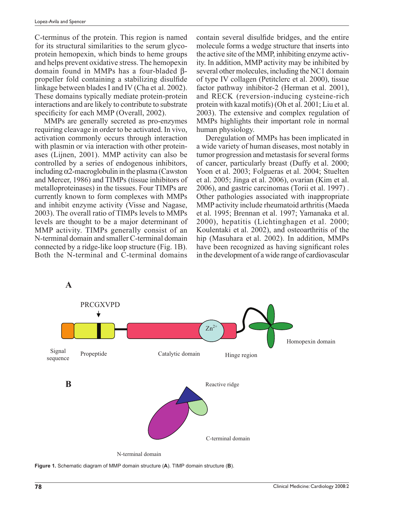C-terminus of the protein. This region is named for its structural similarities to the serum glycoprotein hemopexin, which binds to heme groups and helps prevent oxidative stress. The hemopexin domain found in MMPs has a four-bladed βpropeller fold containing a stabilizing disulfide linkage between blades I and IV (Cha et al. 2002). These domains typically mediate protein-protein interactions and are likely to contribute to substrate specificity for each MMP (Overall, 2002).

MMPs are generally secreted as pro-enzymes requiring cleavage in order to be activated. In vivo, activation commonly occurs through interaction with plasmin or via interaction with other proteinases (Lijnen, 2001). MMP activity can also be controlled by a series of endogenous inhibitors, including α2-macroglobulin in the plasma (Cawston and Mercer, 1986) and TIMPs (tissue inhibitors of metalloproteinases) in the tissues. Four TIMPs are currently known to form complexes with MMPs and inhibit enzyme activity (Visse and Nagase, 2003). The overall ratio of TIMPs levels to MMPs levels are thought to be a major determinant of MMP activity. TIMPs generally consist of an N-terminal domain and smaller C-terminal domain connected by a ridge-like loop structure (Fig. 1B). Both the N-terminal and C-terminal domains contain several disulfide bridges, and the entire molecule forms a wedge structure that inserts into the active site of the MMP, inhibiting enzyme activity. In addition, MMP activity may be inhibited by several other molecules, including the NC1 domain of type IV collagen (Petitclerc et al. 2000), tissue factor pathway inhibitor-2 (Herman et al. 2001), and RECK (reversion-inducing cysteine-rich protein with kazal motifs) (Oh et al. 2001; Liu et al. 2003). The extensive and complex regulation of MMPs highlights their important role in normal human physiology.

Deregulation of MMPs has been implicated in a wide variety of human diseases, most notably in tumor progression and metastasis for several forms of cancer, particularly breast (Duffy et al. 2000; Yoon et al. 2003; Folgueras et al. 2004; Stuelten et al. 2005; Jinga et al. 2006), ovarian (Kim et al. 2006), and gastric carcinomas (Torii et al. 1997) . Other pathologies associated with inappropriate MMP activity include rheumatoid arthritis (Maeda et al. 1995; Brennan et al. 1997; Yamanaka et al. 2000), hepatitis (Lichtinghagen et al. 2000; Koulentaki et al. 2002), and osteoarthritis of the hip (Masuhara et al. 2002). In addition, MMPs have been recognized as having significant roles in the development of a wide range of cardiovascular



**Figure 1.** Schematic diagram of MMP domain structure (**A**). TIMP domain structure (**B**).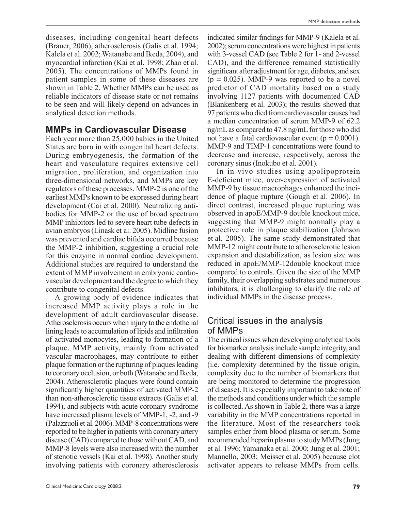diseases, including congenital heart defects (Brauer, 2006), atherosclerosis (Galis et al. 1994; Kalela et al. 2002; Watanabe and Ikeda, 2004), and myocardial infarction (Kai et al. 1998; Zhao et al. 2005). The concentrations of MMPs found in patient samples in some of these diseases are shown in Table 2. Whether MMPs can be used as reliable indicators of disease state or not remains to be seen and will likely depend on advances in analytical detection methods.

#### **MMPs in Cardiovascular Disease**

Each year more than 25,000 babies in the United States are born in with congenital heart defects. During embryogenesis, the formation of the heart and vasculature requires extensive cell migration, proliferation, and organization into three-dimensional networks, and MMPs are key regulators of these processes. MMP-2 is one of the earliest MMPs known to be expressed during heart development (Cai et al. 2000). Neutralizing antibodies for MMP-2 or the use of broad spectrum MMP inhibitors led to severe heart tube defects in avian embryos (Linask et al. 2005). Midline fusion was prevented and cardiac bifida occurred because the MMP-2 inhibition, suggesting a crucial role for this enzyme in normal cardiac development. Additional studies are required to understand the extent of MMP involvement in embryonic cardiovascular development and the degree to which they contribute to congenital defects.

A growing body of evidence indicates that increased MMP activity plays a role in the development of adult cardiovascular disease. Atherosclerosis occurs when injury to the endothelial lining leads to accumulation of lipids and infiltration of activated monocytes, leading to formation of a plaque. MMP activity, mainly from activated vascular macrophages, may contribute to either plaque formation or the rupturing of plaques leading to coronary occlusion, or both (Watanabe and Ikeda, 2004). Atherosclerotic plaques were found contain significantly higher quantities of activated MMP-2 than non-atherosclerotic tissue extracts (Galis et al. 1994), and subjects with acute coronary syndrome have increased plasma levels of MMP-1, -2, and -9 (Palazzuoli et al. 2006). MMP-8 concentrations were reported to be higher in patients with coronary artery disease (CAD) compared to those without CAD, and MMP-8 levels were also increased with the number of stenotic vessels (Kai et al. 1998). Another study involving patients with coronary atherosclerosis

indicated similar findings for MMP-9 (Kalela et al. 2002); serum concentrations were highest in patients with 3-vessel CAD (see Table 2 for 1- and 2-vessel CAD), and the difference remained statistically significant after adjustment for age, diabetes, and sex  $(p = 0.025)$ . MMP-9 was reported to be a novel predictor of CAD mortality based on a study involving 1127 patients with documented CAD (Blankenberg et al. 2003); the results showed that 97 patients who died from cardiovascular causes had a median concentration of serum MMP-9 of 62.2 ng/mL as compared to 47.8 ng/mL for those who did not have a fatal cardiovascular event ( $p = 0.0001$ ). MMP-9 and TIMP-1 concentrations were found to decrease and increase, respectively, across the coronary sinus (Inokubo et al. 2001).

In in-vivo studies using apolipoprotein E-deficient mice, over-expression of activated MMP-9 by tissue macrophages enhanced the incidence of plaque rupture (Gough et al. 2006). In direct contrast, increased plaque rupturing was observed in apoE/MMP-9 double knockout mice, suggesting that MMP-9 might normally play a protective role in plaque stabilization (Johnson et al. 2005). The same study demonstrated that MMP-12 might contribute to atherosclerotic lesion expansion and destabilization, as lesion size was reduced in apoE/MMP-12double knockout mice compared to controls. Given the size of the MMP family, their overlapping substrates and numerous inhibitors, it is challenging to clarify the role of individual MMPs in the disease process.

#### Critical issues in the analysis of MMPs

The critical issues when developing analytical tools for biomarker analysis include sample integrity, and dealing with different dimensions of complexity (i.e. complexity determined by the tissue origin, complexity due to the number of biomarkers that are being monitored to determine the progression of disease). It is especially important to take note of the methods and conditions under which the sample is collected. As shown in Table 2, there was a large variability in the MMP concentrations reported in the literature. Most of the researchers took samples either from blood plasma or serum. Some recommended heparin plasma to study MMPs (Jung et al. 1996; Yamanaka et al. 2000; Jung et al. 2001; Mannello, 2003; Meisser et al. 2005) because clot activator appears to release MMPs from cells.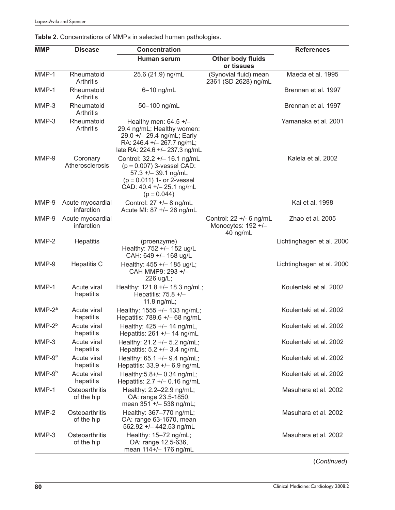| Table 2. Concentrations of MMPs in selected human pathologies. |  |
|----------------------------------------------------------------|--|
|----------------------------------------------------------------|--|

| <b>MMP</b> | <b>Disease</b>                 | <b>Concentration</b>                                                                                                                                            |                                                           | <b>References</b>         |
|------------|--------------------------------|-----------------------------------------------------------------------------------------------------------------------------------------------------------------|-----------------------------------------------------------|---------------------------|
|            |                                | Human serum                                                                                                                                                     | Other body fluids<br>or tissues                           |                           |
| MMP-1      | Rheumatoid<br>Arthritis        | 25.6 (21.9) ng/mL                                                                                                                                               | (Synovial fluid) mean<br>2361 (SD 2628) ng/mL             | Maeda et al. 1995         |
| MMP-1      | Rheumatoid<br>Arthritis        | 6-10 ng/mL                                                                                                                                                      |                                                           | Brennan et al. 1997       |
| MMP-3      | Rheumatoid<br>Arthritis        | 50-100 ng/mL                                                                                                                                                    |                                                           | Brennan et al. 1997       |
| MMP-3      | Rheumatoid<br>Arthritis        | Healthy men: $64.5$ +/-<br>29.4 ng/mL; Healthy women:<br>29.0 +/- 29.4 ng/mL; Early<br>RA: 246.4 +/- 267.7 ng/mL;<br>late RA: 224.6 +/- 237.3 ng/mL             |                                                           | Yamanaka et al. 2001      |
| MMP-9      | Coronary<br>Atherosclerosis    | Control: 32.2 +/- 16.1 ng/mL<br>$(p = 0.007)$ 3-vessel CAD:<br>57.3 +/- 39.1 ng/mL<br>$(p = 0.011)$ 1- or 2-vessel<br>CAD: 40.4 +/- 25.1 ng/mL<br>$(p = 0.044)$ |                                                           | Kalela et al. 2002        |
| MMP-9      | Acute myocardial<br>infarction | Control: $27 + - 8$ ng/mL<br>Acute MI: 87 +/- 26 ng/mL                                                                                                          |                                                           | Kai et al. 1998           |
| MMP-9      | Acute myocardial<br>infarction |                                                                                                                                                                 | Control: 22 +/- 6 ng/mL<br>Monocytes: 192 +/-<br>40 ng/mL | Zhao et al. 2005          |
| MMP-2      | <b>Hepatitis</b>               | (proenzyme)<br>Healthy: 752 +/- 152 ug/L<br>CAH: 649 +/- 168 ug/L                                                                                               |                                                           | Lichtinghagen et al. 2000 |
| MMP-9      | Hepatitis C                    | Healthy: 455 +/- 185 ug/L;<br>CAH MMP9: 293 +/-<br>226 ug/L;                                                                                                    |                                                           | Lichtinghagen et al. 2000 |
| MMP-1      | Acute viral<br>hepatitis       | Healthy: 121.8 +/- 18.3 ng/mL;<br>Hepatitis: $75.8 +/-$<br>11.8 ng/mL;                                                                                          |                                                           | Koulentaki et al. 2002    |
| $MMP-2^a$  | Acute viral<br>hepatitis       | Healthy: 1555 +/- 133 ng/mL;<br>Hepatitis: 789.6 +/- 68 ng/mL                                                                                                   |                                                           | Koulentaki et al. 2002    |
| $MMP-2b$   | Acute viral<br>hepatitis       | Healthy: 425 +/- 14 ng/mL,<br>Hepatitis: 261 +/- 14 ng/mL                                                                                                       |                                                           | Koulentaki et al. 2002    |
| MMP-3      | Acute viral<br>hepatitis       | Healthy: 21.2 +/- 5.2 ng/mL;<br>Hepatitis: $5.2 +/- 3.4$ ng/mL                                                                                                  |                                                           | Koulentaki et al. 2002    |
| $MMP-9a$   | Acute viral<br>hepatitis       | Healthy: 65.1 +/- 9.4 ng/mL;<br>Hepatitis: 33.9 +/- 6.9 ng/mL                                                                                                   |                                                           | Koulentaki et al. 2002    |
| $MMP-9b$   | Acute viral<br>hepatitis       | Healthy: 5.8+/- 0.34 ng/mL;<br>Hepatitis: $2.7$ +/- 0.16 ng/mL                                                                                                  |                                                           | Koulentaki et al. 2002    |
| MMP-1      | Osteoarthritis<br>of the hip   | Healthy: 2.2-22.9 ng/mL;<br>OA: range 23.5-1850,<br>mean 351 +/- 538 ng/mL;                                                                                     |                                                           | Masuhara et al. 2002      |
| $MMP-2$    | Osteoarthritis<br>of the hip   | Healthy: 367-770 ng/mL;<br>OA: range 63-1670, mean<br>562.92 +/- 442.53 ng/mL                                                                                   |                                                           | Masuhara et al. 2002      |
| MMP-3      | Osteoarthritis<br>of the hip   | Healthy: 15-72 ng/mL;<br>OA: range 12.5-636,<br>mean 114+/- 176 ng/mL                                                                                           |                                                           | Masuhara et al. 2002      |

(*Continued*)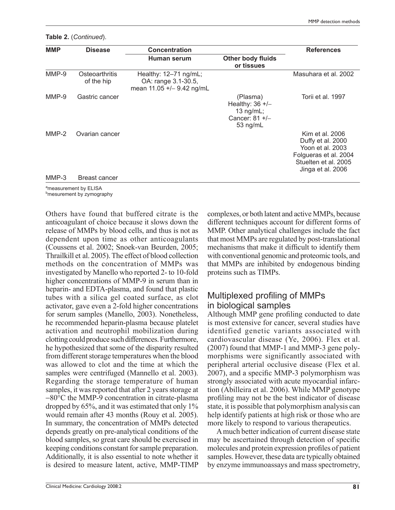**Table 2.** (*Continued*).

| <b>MMP</b> | <b>Disease</b>               | <b>Concentration</b>                                                        |                                                                              | <b>References</b>                                                                                                              |
|------------|------------------------------|-----------------------------------------------------------------------------|------------------------------------------------------------------------------|--------------------------------------------------------------------------------------------------------------------------------|
|            |                              | Human serum                                                                 | <b>Other body fluids</b><br>or tissues                                       |                                                                                                                                |
| MMP-9      | Osteoarthritis<br>of the hip | Healthy: $12-71$ ng/mL;<br>OA: range 3.1-30.5,<br>mean 11.05 +/- 9.42 ng/mL |                                                                              | Masuhara et al. 2002                                                                                                           |
| MMP-9      | Gastric cancer               |                                                                             | (Plasma)<br>Healthy: $36 +/-$<br>13 $ng/mL;$<br>Cancer: $81 +/-$<br>53 ng/mL | Torii et al. 1997                                                                                                              |
| $MMP-2$    | Ovarian cancer               |                                                                             |                                                                              | Kim et al. 2006<br>Duffy et al. 2000<br>Yoon et al. 2003<br>Folgueras et al. 2004<br>Stuelten et al. 2005<br>Jinga et al. 2006 |
| MMP-3      | <b>Breast cancer</b>         |                                                                             |                                                                              |                                                                                                                                |

a<sub>measurement by ELISA</sub>

<sup>b</sup>mesurement by zymography

Others have found that buffered citrate is the anticoagulant of choice because it slows down the release of MMPs by blood cells, and thus is not as dependent upon time as other anticoagulants (Coussens et al. 2002; Snoek-van Beurden, 2005; Thrailkill et al. 2005). The effect of blood collection methods on the concentration of MMPs was investigated by Manello who reported 2- to 10-fold higher concentrations of MMP-9 in serum than in heparin- and EDTA-plasma, and found that plastic tubes with a silica gel coated surface, as clot activator, gave even a 2-fold higher concentrations for serum samples (Manello, 2003). Nonetheless, he recommended heparin-plasma because platelet activation and neutrophil mobilization during clotting could produce such differences. Furthermore, he hypothesized that some of the disparity resulted from different storage temperatures when the blood was allowed to clot and the time at which the samples were centrifuged (Mannello et al. 2003). Regarding the storage temperature of human samples, it was reported that after 2 years storage at −80°C the MMP-9 concentration in citrate-plasma dropped by 65%, and it was estimated that only 1% would remain after 43 months (Rouy et al. 2005). In summary, the concentration of MMPs detected depends greatly on pre-analytical conditions of the blood samples, so great care should be exercised in keeping conditions constant for sample preparation. Additionally, it is also essential to note whether it is desired to measure latent, active, MMP-TIMP

complexes, or both latent and active MMPs, because different techniques account for different forms of MMP. Other analytical challenges include the fact that most MMPs are regulated by post-translational mechanisms that make it difficult to identify them with conventional genomic and proteomic tools, and that MMPs are inhibited by endogenous binding proteins such as TIMPs.

### Multiplexed profiling of MMPs in biological samples

Although MMP gene profiling conducted to date is most extensive for cancer, several studies have identified genetic variants associated with cardiovascular disease (Ye, 2006). Flex et al. (2007) found that MMP-1 and MMP-3 gene polymorphisms were significantly associated with peripheral arterial occlusive disease (Flex et al. 2007), and a specific MMP-3 polymorphism was strongly associated with acute myocardial infarction (Abilleira et al. 2006). While MMP genotype profiling may not be the best indicator of disease state, it is possible that polymorphism analysis can help identify patients at high risk or those who are more likely to respond to various therapeutics.

A much better indication of current disease state may be ascertained through detection of specific molecules and protein expression profiles of patient samples. However, these data are typically obtained by enzyme immunoassays and mass spectrometry,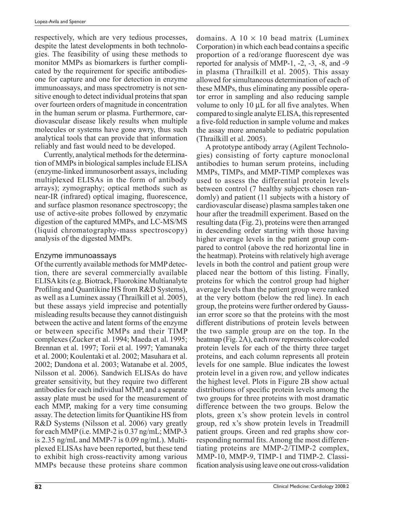respectively, which are very tedious processes, despite the latest developments in both technologies. The feasibility of using these methods to monitor MMPs as biomarkers is further complicated by the requirement for specific antibodiesone for capture and one for detection in enzyme immunoassays, and mass spectrometry is not sensitive enough to detect individual proteins that span over fourteen orders of magnitude in concentration in the human serum or plasma. Furthermore, cardiovascular disease likely results when multiple molecules or systems have gone awry, thus such analytical tools that can provide that information reliably and fast would need to be developed.

Currently, analytical methods for the determination of MMPs in biological samples include ELISA (enzyme-linked immunosorbent assays, including multiplexed ELISAs in the form of antibody arrays); zymography; optical methods such as near-IR (infrared) optical imaging, fluorescence, and surface plasmon resonance spectroscopy; the use of active-site probes followed by enzymatic digestion of the captured MMPs, and LC-MS/MS (liquid chromatography-mass spectroscopy) analysis of the digested MMPs.

#### Enzyme immunoassays

Of the currently available methods for MMP detection, there are several commercially available ELISA kits (e.g. Biotrack, Fluorokine Multianalyte Profiling and Quantikine HS from R&D Systems), as well as a Luminex assay (Thrailkill et al. 2005), but these assays yield imprecise and potentially misleading results because they cannot distinguish between the active and latent forms of the enzyme or between specific MMPs and their TIMP complexes (Zucker et al. 1994; Maeda et al. 1995; Brennan et al. 1997; Torii et al. 1997; Yamanaka et al. 2000; Koulentaki et al. 2002; Masuhara et al. 2002; Dandona et al. 2003; Watanabe et al. 2005, Nilsson et al. 2006). Sandwich ELISAs do have greater sensitivity, but they require two different antibodies for each individual MMP, and a separate assay plate must be used for the measurement of each MMP, making for a very time consuming assay. The detection limits for Quantikine HS from R&D Systems (Nilsson et al. 2006) vary greatly for each MMP (i.e. MMP-2 is 0.37 ng/mL; MMP-3 is 2.35 ng/mL and MMP-7 is 0.09 ng/mL). Multiplexed ELISAs have been reported, but these tend to exhibit high cross-reactivity among various MMPs because these proteins share common domains. A  $10 \times 10$  bead matrix (Luminex Corporation) in which each bead contains a specific proportion of a red/orange fluorescent dye was reported for analysis of MMP-1, -2, -3, -8, and -9 in plasma (Thrailkill et al. 2005). This assay allowed for simultaneous determination of each of these MMPs, thus eliminating any possible operator error in sampling and also reducing sample volume to only  $10 \mu L$  for all five analytes. When compared to single analyte ELISA, this represented a five-fold reduction in sample volume and makes the assay more amenable to pediatric population (Thrailkill et al. 2005).

A prototype antibody array (Agilent Technologies) consisting of forty capture monoclonal antibodies to human serum proteins, including MMPs, TIMPs, and MMP-TIMP complexes was used to assess the differential protein levels between control (7 healthy subjects chosen randomly) and patient (11 subjects with a history of cardiovascular disease) plasma samples taken one hour after the treadmill experiment. Based on the resulting data (Fig. 2), proteins were then arranged in descending order starting with those having higher average levels in the patient group compared to control (above the red horizontal line in the heatmap). Proteins with relatively high average levels in both the control and patient group were placed near the bottom of this listing. Finally, proteins for which the control group had higher average levels than the patient group were ranked at the very bottom (below the red line). In each group, the proteins were further ordered by Gaussian error score so that the proteins with the most different distributions of protein levels between the two sample group are on the top. In the heatmap (Fig. 2A), each row represents color-coded protein levels for each of the thirty three target proteins, and each column represents all protein levels for one sample. Blue indicates the lowest protein level in a given row, and yellow indicates the highest level. Plots in Figure 2B show actual distributions of specific protein levels among the two groups for three proteins with most dramatic difference between the two groups. Below the plots, green x's show protein levels in control group, red x's show protein levels in Treadmill patient groups. Green and red graphs show corresponding normal fits. Among the most differentiating proteins are MMP-2/TIMP-2 complex, MMP-10, MMP-9, TIMP-1 and TIMP-2. Classification analysis using leave one out cross-validation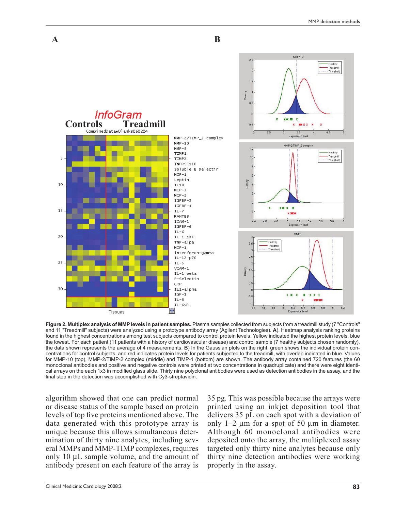

**Figure 2. Multiplex analysis of MMP levels in patient samples.** Plasma samples collected from subjects from a treadmill study (7 "Controls" and 11 "Treadmill" subjects) were analyzed using a prototype antibody array (Agilent Technologies). **A**). Heatmap analysis ranking proteins found in the highest concentrations among test subjects compared to control protein levels. Yellow indicated the highest protein levels, blue the lowest. For each patient (11 patients with a history of cardiovascular disease) and control sample (7 healthy subjects chosen randomly), the data shown represents the average of 4 measurements. **B**) In the Gaussian plots on the right, green shows the individual protein concentrations for control subjects, and red indicates protein levels for patients subjected to the treadmill, with overlap indicated in blue. Values for MMP-10 (top), MMP-2/TIMP-2 complex (middle) and TIMP-1 (bottom) are shown. The antibody array contained 720 features (the 60 monoclonal antibodies and positive and negative controls were printed at two concentrations in quadruplicate) and there were eight identical arrays on the each 1x3 in modified glass slide. Thirty nine polyclonal antibodies were used as detection antibodies in the assay, and the final step in the detection was accomplished with Cy3-streptavidin.

algorithm showed that one can predict normal or disease status of the sample based on protein levels of top five proteins mentioned above. The data generated with this prototype array is unique because this allows simultaneous determination of thirty nine analytes, including several MMPs and MMP-TIMP complexes, requires only 10 µL sample volume, and the amount of antibody present on each feature of the array is 35 pg. This was possible because the arrays were printed using an inkjet deposition tool that delivers 35 pL on each spot with a deviation of only 1–2 µm for a spot of 50 µm in diameter. Although 60 monoclonal antibodies were deposited onto the array, the multiplexed assay targeted only thirty nine analytes because only thirty nine detection antibodies were working properly in the assay.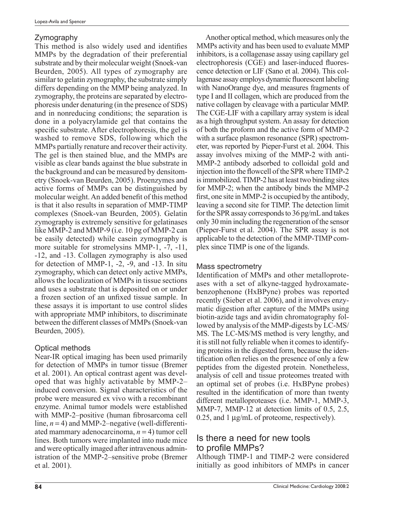#### **Zymography**

This method is also widely used and identifies MMPs by the degradation of their preferential substrate and by their molecular weight (Snoek-van Beurden, 2005). All types of zymography are similar to gelatin zymography, the substrate simply differs depending on the MMP being analyzed. In zymography, the proteins are separated by electrophoresis under denaturing (in the presence of SDS) and in nonreducing conditions; the separation is done in a polyacrylamide gel that contains the specific substrate. After electrophoresis, the gel is washed to remove SDS, following which the MMPs partially renature and recover their activity. The gel is then stained blue, and the MMPs are visible as clear bands against the blue substrate in the background and can be measured by densitometry (Snoek-van Beurden, 2005). Proenzymes and active forms of MMPs can be distinguished by molecular weight. An added benefit of this method is that it also results in separation of MMP-TIMP complexes (Snoek-van Beurden, 2005). Gelatin zymography is extremely sensitive for gelatinases like MMP-2 and MMP-9 (i.e. 10 pg of MMP-2 can be easily detected) while casein zymography is more suitable for stromelysins MMP-1, -7, -11, -12, and -13. Collagen zymography is also used for detection of MMP-1, -2, -9, and -13. In situ zymography, which can detect only active MMPs, allows the localization of MMPs in tissue sections and uses a substrate that is deposited on or under a frozen section of an unfixed tissue sample. In these assays it is important to use control slides with appropriate MMP inhibitors, to discriminate between the different classes of MMPs (Snoek-van Beurden, 2005).

#### Optical methods

Near-IR optical imaging has been used primarily for detection of MMPs in tumor tissue (Bremer et al. 2001). An optical contrast agent was developed that was highly activatable by MMP-2– induced conversion. Signal characteristics of the probe were measured ex vivo with a recombinant enzyme. Animal tumor models were established with MMP-2-positive (human fibrosarcoma cell line, *n* = 4) and MMP-2–negative (well-differentiated mammary adenocarcinoma, *n* = 4) tumor cell lines. Both tumors were implanted into nude mice and were optically imaged after intravenous administration of the MMP-2–sensitive probe (Bremer et al. 2001).

Another optical method, which measures only the MMPs activity and has been used to evaluate MMP inhibitors, is a collagenase assay using capillary gel electrophoresis (CGE) and laser-induced fluorescence detection or LIF (Sano et al. 2004). This collagenase assay employs dynamic fluorescent labeling with NanoOrange dye, and measures fragments of type I and II collagen, which are produced from the native collagen by cleavage with a particular MMP. The CGE-LIF with a capillary array system is ideal as a high throughput system. An assay for detection of both the proform and the active form of MMP-2 with a surface plasmon resonance (SPR) spectrometer, was reported by Pieper-Furst et al. 2004. This assay involves mixing of the MMP-2 with anti-MMP-2 antibody adsorbed to colloidal gold and injection into the flowcell of the SPR where TIMP-2 is immobilized. TIMP-2 has at least two binding sites for MMP-2; when the antibody binds the MMP-2 first, one site in MMP-2 is occupied by the antibody, leaving a second site for TIMP. The detection limit for the SPR assay corresponds to 36 pg/mL and takes only 30 min including the regeneration of the sensor (Pieper-Furst et al. 2004). The SPR assay is not applicable to the detection of the MMP-TIMP complex since TIMP is one of the ligands.

#### Mass spectrometry

Identification of MMPs and other metalloproteases with a set of alkyne-tagged hydroxamatebenzophenone (HxBPyne) probes was reported recently (Sieber et al. 2006), and it involves enzymatic digestion after capture of the MMPs using biotin-azide tags and avidin chromatography followed by analysis of the MMP-digests by LC-MS/ MS. The LC-MS/MS method is very lengthy, and it is still not fully reliable when it comes to identifying proteins in the digested form, because the identification often relies on the presence of only a few peptides from the digested protein. Nonetheless, analysis of cell and tissue proteomes treated with an optimal set of probes (i.e. HxBPyne probes) resulted in the identification of more than twenty different metalloproteases (i.e. MMP-1, MMP-3, MMP-7, MMP-12 at detection limits of 0.5, 2.5, 0.25, and 1 µg/mL of proteome, respectively).

#### Is there a need for new tools to profile MMPs?

Although TIMP-1 and TIMP-2 were considered initially as good inhibitors of MMPs in cancer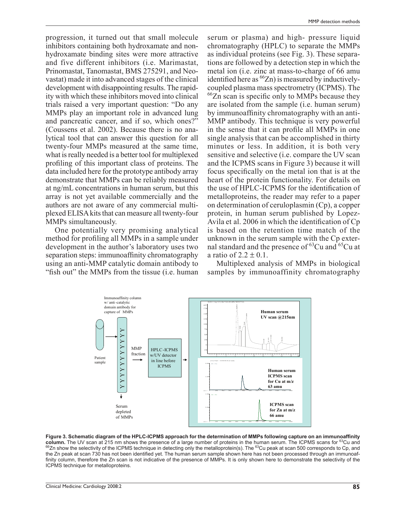progression, it turned out that small molecule inhibitors containing both hydroxamate and nonhydroxamate binding sites were more attractive and five different inhibitors (i.e. Marimastat, Prinomastat, Tanomastat, BMS 275291, and Neovastat) made it into advanced stages of the clinical development with disappointing results. The rapidity with which these inhibitors moved into clinical trials raised a very important question: "Do any MMPs play an important role in advanced lung and pancreatic cancer, and if so, which ones?" (Coussens et al. 2002). Because there is no analytical tool that can answer this question for all twenty-four MMPs measured at the same time, what is really needed is a better tool for multiplexed profiling of this important class of proteins. The data included here for the prototype antibody array demonstrate that MMPs can be reliably measured at ng/mL concentrations in human serum, but this array is not yet available commercially and the authors are not aware of any commercial multiplexed ELISA kits that can measure all twenty-four MMPs simultaneously.

One potentially very promising analytical method for profiling all MMPs in a sample under development in the author's laboratory uses two separation steps: immunoaffinity chromatography using an anti-MMP catalytic domain antibody to "fish out" the MMPs from the tissue (i.e. human serum or plasma) and high- pressure liquid chromatography (HPLC) to separate the MMPs as individual proteins (see Fig. 3). These separations are followed by a detection step in which the metal ion (i.e. zinc at mass-to-charge of 66 amu identified here as  $^{66}Zn$ ) is measured by inductivelycoupled plasma mass spectrometry (ICPMS). The  $66Zn$  scan is specific only to MMPs because they are isolated from the sample (i.e. human serum) by immunoaffinity chromatography with an anti-MMP antibody. This technique is very powerful in the sense that it can profile all MMPs in one single analysis that can be accomplished in thirty minutes or less. In addition, it is both very sensitive and selective (i.e. compare the UV scan and the ICPMS scans in Figure 3) because it will focus specifically on the metal ion that is at the heart of the protein functionality. For details on the use of HPLC-ICPMS for the identification of metalloproteins, the reader may refer to a paper on determination of ceruloplasmin (Cp), a copper protein, in human serum published by Lopez-Avila et al.  $2006$  in which the identification of  $Cp$ is based on the retention time match of the unknown in the serum sample with the Cp external standard and the presence of <sup>63</sup>Cu and <sup>65</sup>Cu at a ratio of  $2.2 \pm 0.1$ .

Multiplexed analysis of MMPs in biological samples by immunoaffinity chromatography



**Figure 3. Schematic diagram of the HPLC-ICPMS approach for the determination of MMPs following capture on an immunoaffinity column.** The UV scan at 215 nm shows the presence of a large number of proteins in the human seru <sup>66</sup>Zn show the selectivity of the ICPMS technique in detecting only the metalloprotein(s). The <sup>63</sup>Cu peak at scan 500 corresponds to Cp, and the Zn peak at scan 730 has not been identified yet. The human serum sample shown here has not been processed through an immunoaffinity column, therefore the Zn scan is not indicative of the presence of MMPs. It is only shown here to demonstrate the selectivity of the ICPMS technique for metalloproteins.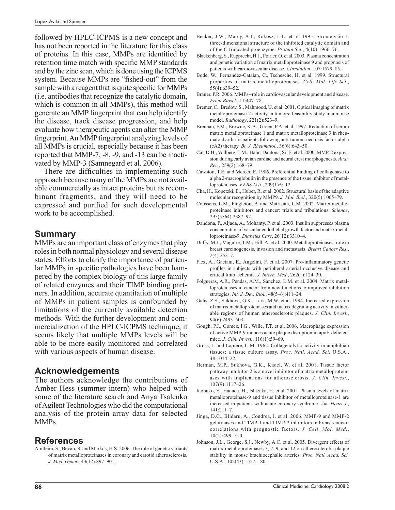followed by HPLC-ICPMS is a new concept and has not been reported in the literature for this class of proteins. In this case, MMPs are identified by retention time match with specific MMP standards and by the zinc scan, which is done using the ICPMS system. Because MMPs are "fished-out" from the sample with a reagent that is quite specific for MMPs (i.e. antibodies that recognize the catalytic domain, which is common in all MMPs), this method will generate an MMP fingerprint that can help identify the disease, track disease progression, and help evaluate how therapeutic agents can alter the MMP fingerprint. An MMP fingerprint analyzing levels of all MMPs is crucial, especially because it has been reported that MMP-7, -8, -9, and -13 can be inactivated by MMP-3 (Samnegard et al. 2006).

There are difficulties in implementing such approach because many of the MMPs are not available commercially as intact proteins but as recombinant fragments, and they will need to be expressed and purified for such developmental work to be accomplished.

#### **Summary**

MMPs are an important class of enzymes that play roles in both normal physiology and several disease states. Efforts to clarify the importance of particular MMPs in specific pathologies have been hampered by the complex biology of this large family of related enzymes and their TIMP binding partners. In addition, accurate quantitation of multiple of MMPs in patient samples is confounded by limitations of the currently available detection methods. With the further development and commercialization of the HPLC-ICPMS technique, it seems likely that multiple MMPs levels will be able to be more easily monitored and correlated with various aspects of human disease.

#### **Acknowledgements**

The authors acknowledge the contributions of Amber Hess (summer intern) who helped with some of the literature search and Anya Tsalenko of Agilent Technologies who did the computational analysis of the protein array data for selected MMPs.

#### **References**

Abilleira, S., Bevan, S. and Markus, H.S. 2006. The role of genetic variants of matrix metalloproteinases in coronary and carotid atherosclerosis. *J. Med. Genet.*, 43(12):897–901.

- Becker, J.W., Marcy, A.I., Rokosz, L.L. et al. 1995. Stromelysin-1: three-dimensional structure of the inhibited catalytic domain and of the C-truncated proenzyme. *Protein Sci.*, 4(10):1966–76.
- Blackenberg, S., Rupprecht, H.J., Poirier, O. et al. 2003. Plasma concentration and genetic variation of matrix metalloproteinase 9 and prognosis of patients with cardiovascular disease. *Circulation*, 107:1579–85.
- Bode, W., Fernandez-Catalan, C., Tschesche, H. et al. 1999. Structural properties of matrix metalloproteinases. *Cell. Mol. Life Sci.*, 55(4):639–52.
- Brauer, P.R. 2006. MMPs--role in cardiovascular development and disease. *Front Biosci.*, 11:447–78.
- Bremer, C., Bredow, S., Mahmood, U. et al. 2001. Optical imaging of matrix metalloproteinase-2 activity in tumors: feasibility study in a mouse model. *Radiology*, 221(2):523–9.
- Brennan, F.M., Browne, K.A., Green, P.A. et al. 1997. Reduction of serum matrix metalloproteinase 1 and matrix metalloproteinase 3 in rheumatoid arthritis patients following anti-tumour necrosis factor-alpha (cA2) therapy. *Br. J. Rheumatol.*, 36(6):643–50.
- Cai, D.H., Vollberg, T.M., Hahn-Dantona, Sr. E. et al. 2000. MMP-2 expression during early avian cardiac and neural crest morphogenesis. *Anat. Rec.*, 259(2):168–79.
- Cawston, T.E. and Mercer, E. 1986. Preferential binding of collagenase to alpha 2-macroglobulin in the presence of the tissue inhibitor of metalloproteinases. *FEBS Lett.*, 209(1):9–12.
- Cha, H., Kopetzki, E., Huber, R. et al. 2002. Structural basis of the adaptive molecular recognition by MMP9. *J. Mol. Biol.*, 320(5):1065–79.
- Coussens, L.M., Fingleton, B. and Matrisian, L.M. 2002. Matrix metalloproteinase inhibitors and cancer: trials and tribulations. *Science*, 295(5564):2387–92.
- Dandona, P., Aljada, A., Mohanty, P. et al. 2003. Insulin suppresses plasma concentration of vascular endothelial growth factor and matrix metalloproteinase-9. *Diabetes Care*, 26(12):3310–4.
- Duffy, M.J., Maguire, T.M., Hill, A. et al. 2000. Metalloproteinases: role in breast carcinogenesis, invasion and metastasis. *Breast Cancer Res.*, 2(4):252–7.
- Flex, A., Gaetani, E., Angelini, F. et al. 2007. Pro-inflammatory genetic profiles in subjects with peripheral arterial occlusive disease and critical limb ischemia. *J. Intern. Med.*, 262(1):124–30.
- Folgueras, A.R., Pendas, A.M., Sanchez, L.M. et al. 2004. Matrix metalloproteinases in cancer: from new functions to improved inhibition strategies. *Int. J. Dev. Biol.*, 48(5–6):411–24.
- Galis, Z.S., Sukhova, G.K., Lark, M.W. et al. 1994. Increased expression of matrix metalloproteinases and matrix degrading activity in vulnerable regions of human atherosclerotic plaques. *J. Clin. Invest.*, 94(6):2493–503.
- Gough, P.J., Gomez, I.G., Wille, P.T. et al. 2006. Macrophage expression of active MMP-9 induces acute plaque disruption in apoE-deficient mice. *J. Clin. Invest.*, 116(1):59–69.
- Gross, J. and Lapiere, C.M. 1962. Collagenolytic activity in amphibian tissues: a tissue culture assay. *Proc. Natl. Acad. Sci.* U.S.A., 48:1014–22.
- Herman, M.P., Sukhova, G.K., Kisiel, W. et al. 2001. Tissue factor pathway inhibitor-2 is a novel inhibitor of matrix metalloproteinases with implications for atherosclerosis. *J. Clin. Invest.*, 107(9):1117–26.
- Inobuko, Y., Hanada, H., Ishtzaka, H. et al. 2001. Plasma levels of matrix metalloproteinase-9 and tissue inhibitor of metalloproteinase-1 are increased in patients with acute coronary syndrome. *Am. Heart J.*, 141:211–7.
- Jinga, D.C., Blidaru, A., Condrea, I. et al. 2006. MMP-9 and MMP-2 gelatinases and TIMP-1 and TIMP-2 inhibitors in breast cancer: correlations with prognostic factors. *J. Cell. Mol. Med.*, 10(2):499–510.
- Johnson, J.L., George, S.J., Newby, A.C. et al. 2005. Divergent effects of matrix metalloproteinases 3, 7, 9, and 12 on atherosclerotic plaque stability in mouse brachiocephalic arteries. *Proc. Natl. Acad. Sci.*  U.S.A., 102(43):15575–80.